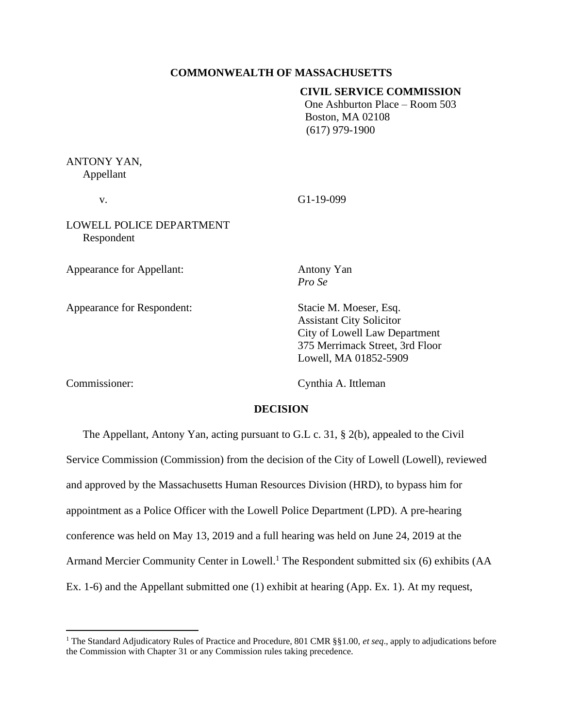#### **COMMONWEALTH OF MASSACHUSETTS**

## **CIVIL SERVICE COMMISSION**

One Ashburton Place – Room 503 Boston, MA 02108 (617) 979-1900

# ANTONY YAN, Appellant

v. G1-19-099

LOWELL POLICE DEPARTMENT Respondent

Appearance for Appellant: Antony Yan

Appearance for Respondent: Stacie M. Moeser, Esq.

*Pro Se*

Assistant City Solicitor City of Lowell Law Department 375 Merrimack Street, 3rd Floor Lowell, MA 01852-5909

Commissioner: Cynthia A. Ittleman

#### **DECISION**

The Appellant, Antony Yan, acting pursuant to G.L c. 31, § 2(b), appealed to the Civil Service Commission (Commission) from the decision of the City of Lowell (Lowell), reviewed and approved by the Massachusetts Human Resources Division (HRD), to bypass him for appointment as a Police Officer with the Lowell Police Department (LPD). A pre-hearing conference was held on May 13, 2019 and a full hearing was held on June 24, 2019 at the Armand Mercier Community Center in Lowell.<sup>1</sup> The Respondent submitted six (6) exhibits (AA Ex. 1-6) and the Appellant submitted one (1) exhibit at hearing (App. Ex. 1). At my request,

<sup>1</sup> The Standard Adjudicatory Rules of Practice and Procedure, 801 CMR §§1.00, *et seq*., apply to adjudications before the Commission with Chapter 31 or any Commission rules taking precedence.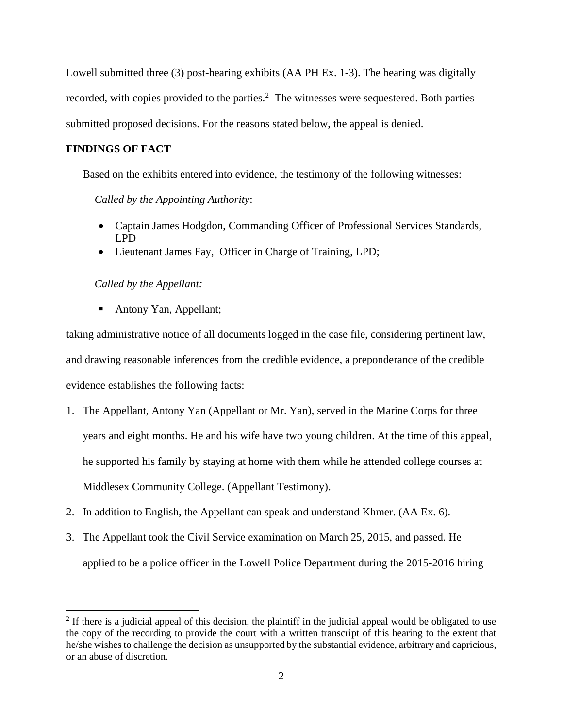Lowell submitted three (3) post-hearing exhibits (AA PH Ex. 1-3). The hearing was digitally recorded, with copies provided to the parties. $<sup>2</sup>$  The witnesses were sequestered. Both parties</sup> submitted proposed decisions. For the reasons stated below, the appeal is denied.

## **FINDINGS OF FACT**

Based on the exhibits entered into evidence, the testimony of the following witnesses:

*Called by the Appointing Authority*:

- Captain James Hodgdon, Commanding Officer of Professional Services Standards, LPD
- Lieutenant James Fay, Officer in Charge of Training, LPD;

## *Called by the Appellant:*

■ Antony Yan, Appellant;

taking administrative notice of all documents logged in the case file, considering pertinent law, and drawing reasonable inferences from the credible evidence, a preponderance of the credible evidence establishes the following facts:

- 1. The Appellant, Antony Yan (Appellant or Mr. Yan), served in the Marine Corps for three years and eight months. He and his wife have two young children. At the time of this appeal, he supported his family by staying at home with them while he attended college courses at Middlesex Community College. (Appellant Testimony).
- 2. In addition to English, the Appellant can speak and understand Khmer. (AA Ex. 6).
- 3. The Appellant took the Civil Service examination on March 25, 2015, and passed. He applied to be a police officer in the Lowell Police Department during the 2015-2016 hiring

 $2$  If there is a judicial appeal of this decision, the plaintiff in the judicial appeal would be obligated to use the copy of the recording to provide the court with a written transcript of this hearing to the extent that he/she wishes to challenge the decision as unsupported by the substantial evidence, arbitrary and capricious, or an abuse of discretion.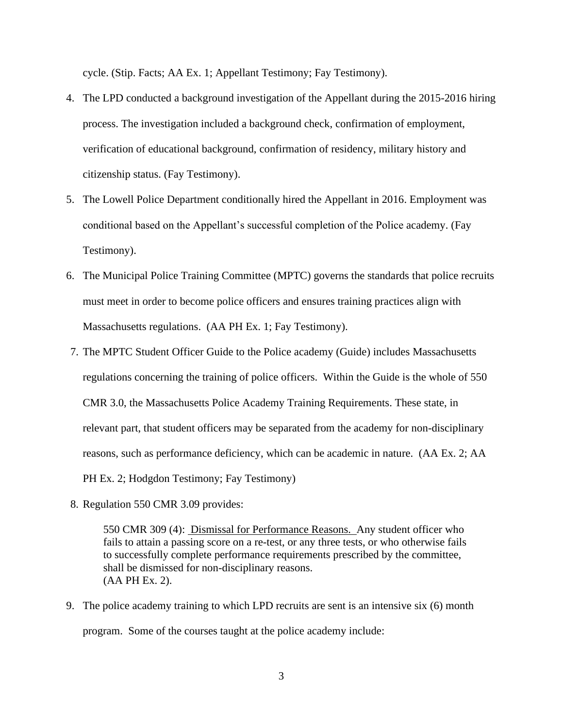cycle. (Stip. Facts; AA Ex. 1; Appellant Testimony; Fay Testimony).

- 4. The LPD conducted a background investigation of the Appellant during the 2015-2016 hiring process. The investigation included a background check, confirmation of employment, verification of educational background, confirmation of residency, military history and citizenship status. (Fay Testimony).
- 5. The Lowell Police Department conditionally hired the Appellant in 2016. Employment was conditional based on the Appellant's successful completion of the Police academy. (Fay Testimony).
- 6. The Municipal Police Training Committee (MPTC) governs the standards that police recruits must meet in order to become police officers and ensures training practices align with Massachusetts regulations. (AA PH Ex. 1; Fay Testimony).
- 7. The MPTC Student Officer Guide to the Police academy (Guide) includes Massachusetts regulations concerning the training of police officers. Within the Guide is the whole of 550 CMR 3.0, the Massachusetts Police Academy Training Requirements. These state, in relevant part, that student officers may be separated from the academy for non-disciplinary reasons, such as performance deficiency, which can be academic in nature. (AA Ex. 2; AA PH Ex. 2; Hodgdon Testimony; Fay Testimony)
- 8. Regulation 550 CMR 3.09 provides:

550 CMR 309 (4): Dismissal for Performance Reasons. Any student officer who fails to attain a passing score on a re-test, or any three tests, or who otherwise fails to successfully complete performance requirements prescribed by the committee, shall be dismissed for non-disciplinary reasons. (AA PH Ex. 2).

9. The police academy training to which LPD recruits are sent is an intensive six (6) month program. Some of the courses taught at the police academy include: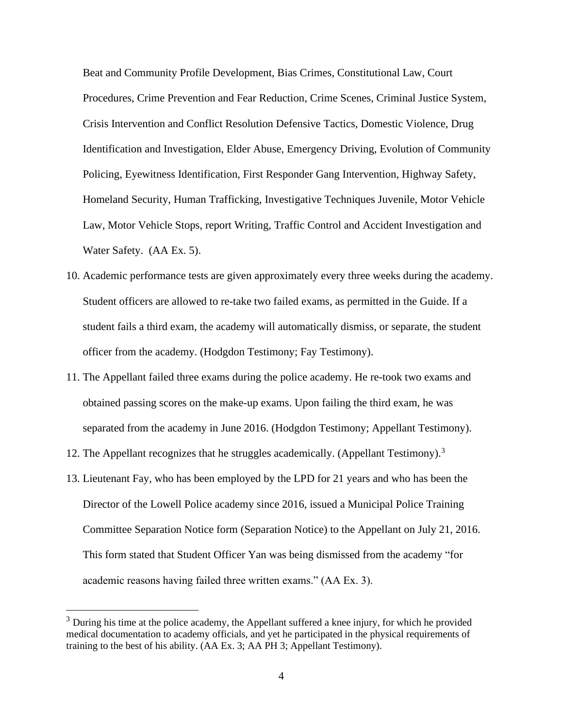Beat and Community Profile Development, Bias Crimes, Constitutional Law, Court Procedures, Crime Prevention and Fear Reduction, Crime Scenes, Criminal Justice System, Crisis Intervention and Conflict Resolution Defensive Tactics, Domestic Violence, Drug Identification and Investigation, Elder Abuse, Emergency Driving, Evolution of Community Policing, Eyewitness Identification, First Responder Gang Intervention, Highway Safety, Homeland Security, Human Trafficking, Investigative Techniques Juvenile, Motor Vehicle Law, Motor Vehicle Stops, report Writing, Traffic Control and Accident Investigation and Water Safety. (AA Ex. 5).

- 10. Academic performance tests are given approximately every three weeks during the academy. Student officers are allowed to re-take two failed exams, as permitted in the Guide. If a student fails a third exam, the academy will automatically dismiss, or separate, the student officer from the academy. (Hodgdon Testimony; Fay Testimony).
- 11. The Appellant failed three exams during the police academy. He re-took two exams and obtained passing scores on the make-up exams. Upon failing the third exam, he was separated from the academy in June 2016. (Hodgdon Testimony; Appellant Testimony).
- 12. The Appellant recognizes that he struggles academically. (Appellant Testimony).<sup>3</sup>
- 13. Lieutenant Fay, who has been employed by the LPD for 21 years and who has been the Director of the Lowell Police academy since 2016, issued a Municipal Police Training Committee Separation Notice form (Separation Notice) to the Appellant on July 21, 2016. This form stated that Student Officer Yan was being dismissed from the academy "for academic reasons having failed three written exams." (AA Ex. 3).

 $3$  During his time at the police academy, the Appellant suffered a knee injury, for which he provided medical documentation to academy officials, and yet he participated in the physical requirements of training to the best of his ability. (AA Ex. 3; AA PH 3; Appellant Testimony).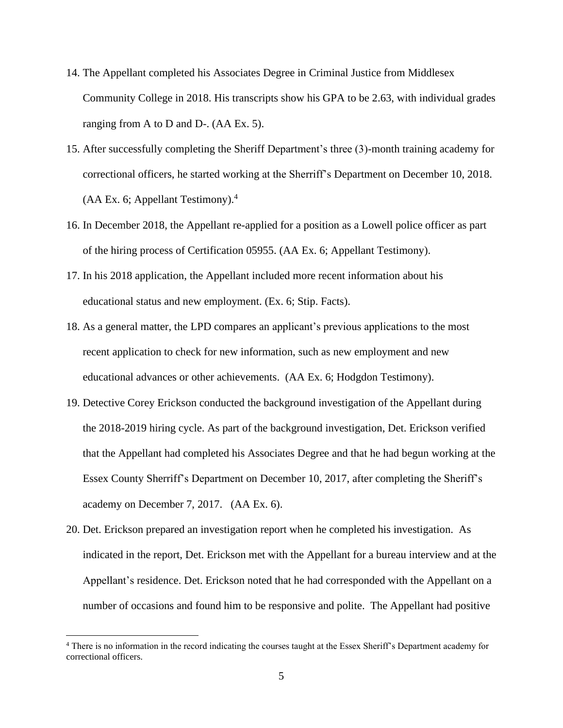- 14. The Appellant completed his Associates Degree in Criminal Justice from Middlesex Community College in 2018. His transcripts show his GPA to be 2.63, with individual grades ranging from A to D and D-. (AA Ex. 5).
- 15. After successfully completing the Sheriff Department's three (3)-month training academy for correctional officers, he started working at the Sherriff's Department on December 10, 2018.  $(AA Ex. 6; Appendix Test by  $^{4}$$
- 16. In December 2018, the Appellant re-applied for a position as a Lowell police officer as part of the hiring process of Certification 05955. (AA Ex. 6; Appellant Testimony).
- 17. In his 2018 application, the Appellant included more recent information about his educational status and new employment. (Ex. 6; Stip. Facts).
- 18. As a general matter, the LPD compares an applicant's previous applications to the most recent application to check for new information, such as new employment and new educational advances or other achievements. (AA Ex. 6; Hodgdon Testimony).
- 19. Detective Corey Erickson conducted the background investigation of the Appellant during the 2018-2019 hiring cycle. As part of the background investigation, Det. Erickson verified that the Appellant had completed his Associates Degree and that he had begun working at the Essex County Sherriff's Department on December 10, 2017, after completing the Sheriff's academy on December 7, 2017. (AA Ex. 6).
- 20. Det. Erickson prepared an investigation report when he completed his investigation. As indicated in the report, Det. Erickson met with the Appellant for a bureau interview and at the Appellant's residence. Det. Erickson noted that he had corresponded with the Appellant on a number of occasions and found him to be responsive and polite. The Appellant had positive

<sup>4</sup> There is no information in the record indicating the courses taught at the Essex Sheriff's Department academy for correctional officers.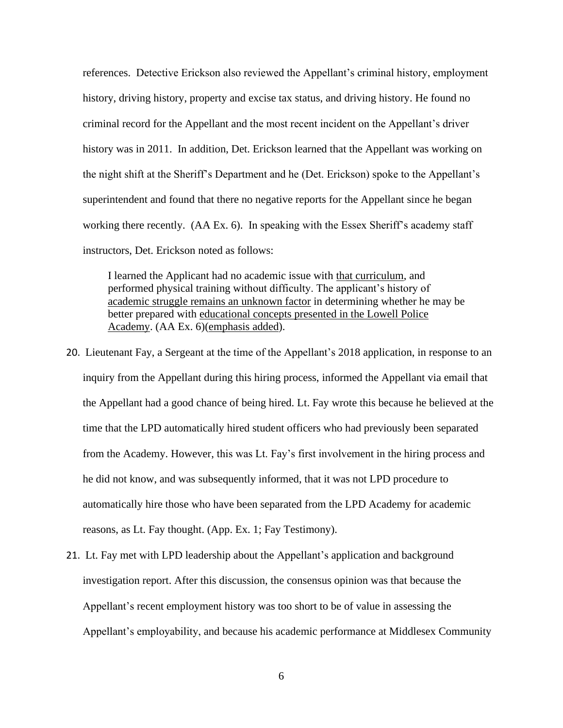references. Detective Erickson also reviewed the Appellant's criminal history, employment history, driving history, property and excise tax status, and driving history. He found no criminal record for the Appellant and the most recent incident on the Appellant's driver history was in 2011. In addition, Det. Erickson learned that the Appellant was working on the night shift at the Sheriff's Department and he (Det. Erickson) spoke to the Appellant's superintendent and found that there no negative reports for the Appellant since he began working there recently. (AA Ex. 6). In speaking with the Essex Sheriff's academy staff instructors, Det. Erickson noted as follows:

I learned the Applicant had no academic issue with that curriculum, and performed physical training without difficulty. The applicant's history of academic struggle remains an unknown factor in determining whether he may be better prepared with educational concepts presented in the Lowell Police Academy. (AA Ex. 6)(emphasis added).

- 20. Lieutenant Fay, a Sergeant at the time of the Appellant's 2018 application, in response to an inquiry from the Appellant during this hiring process, informed the Appellant via email that the Appellant had a good chance of being hired. Lt. Fay wrote this because he believed at the time that the LPD automatically hired student officers who had previously been separated from the Academy. However, this was Lt. Fay's first involvement in the hiring process and he did not know, and was subsequently informed, that it was not LPD procedure to automatically hire those who have been separated from the LPD Academy for academic reasons, as Lt. Fay thought. (App. Ex. 1; Fay Testimony).
- 21. Lt. Fay met with LPD leadership about the Appellant's application and background investigation report. After this discussion, the consensus opinion was that because the Appellant's recent employment history was too short to be of value in assessing the Appellant's employability, and because his academic performance at Middlesex Community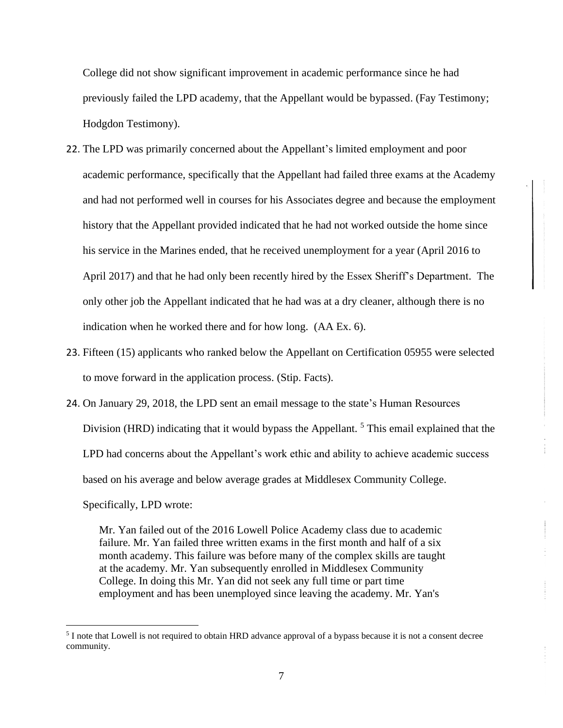College did not show significant improvement in academic performance since he had previously failed the LPD academy, that the Appellant would be bypassed. (Fay Testimony; Hodgdon Testimony).

- 22. The LPD was primarily concerned about the Appellant's limited employment and poor academic performance, specifically that the Appellant had failed three exams at the Academy and had not performed well in courses for his Associates degree and because the employment history that the Appellant provided indicated that he had not worked outside the home since his service in the Marines ended, that he received unemployment for a year (April 2016 to April 2017) and that he had only been recently hired by the Essex Sheriff's Department. The only other job the Appellant indicated that he had was at a dry cleaner, although there is no indication when he worked there and for how long. (AA Ex. 6).
- 23. Fifteen (15) applicants who ranked below the Appellant on Certification 05955 were selected to move forward in the application process. (Stip. Facts).
- 24. On January 29, 2018, the LPD sent an email message to the state's Human Resources Division (HRD) indicating that it would bypass the Appellant.<sup>5</sup> This email explained that the LPD had concerns about the Appellant's work ethic and ability to achieve academic success based on his average and below average grades at Middlesex Community College. Specifically, LPD wrote:

Mr. Yan failed out of the 2016 Lowell Police Academy class due to academic failure. Mr. Yan failed three written exams in the first month and half of a six month academy. This failure was before many of the complex skills are taught at the academy. Mr. Yan subsequently enrolled in Middlesex Community College. In doing this Mr. Yan did not seek any full time or part time employment and has been unemployed since leaving the academy. Mr. Yan's

<sup>&</sup>lt;sup>5</sup> I note that Lowell is not required to obtain HRD advance approval of a bypass because it is not a consent decree community.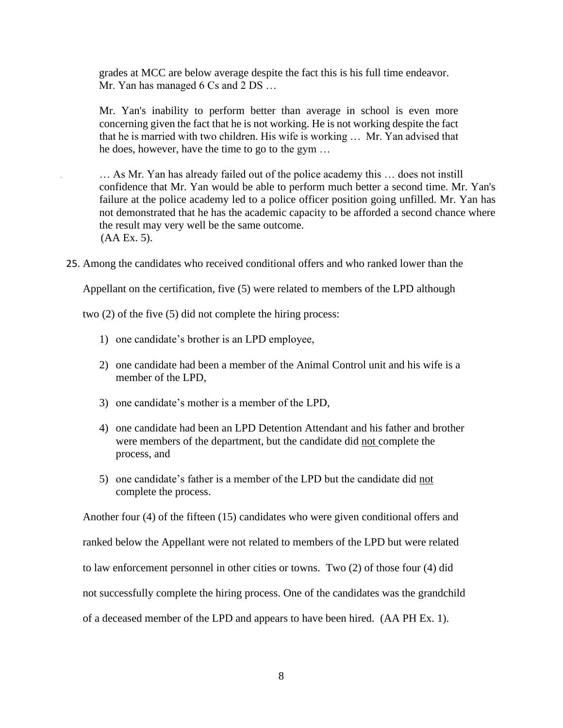grades at MCC are below average despite the fact this is his full time endeavor. Mr. Yan has managed 6 Cs and 2 DS ...

Mr. Yan's inability to perform better than average in school is even more concerning given the fact that he is not working. He is not working despite the fact that he is married with two children. His wife is working … Mr. Yan advised that he does, however, have the time to go to the gym …

… As Mr. Yan has already failed out of the police academy this … does not instill confidence that Mr. Yan would be able to perform much better a second time. Mr. Yan's failure at the police academy led to a police officer position going unfilled. Mr. Yan has not demonstrated that he has the academic capacity to be afforded a second chance where the result may very well be the same outcome. (AA Ex. 5).

25. Among the candidates who received conditional offers and who ranked lower than the

Appellant on the certification, five (5) were related to members of the LPD although

two (2) of the five (5) did not complete the hiring process:

- 1) one candidate's brother is an LPD employee,
- 2) one candidate had been a member of the Animal Control unit and his wife is a member of the LPD,
- 3) one candidate's mother is a member of the LPD,
- 4) one candidate had been an LPD Detention Attendant and his father and brother were members of the department, but the candidate did not complete the process, and
- 5) one candidate's father is a member of the LPD but the candidate did not complete the process.

Another four (4) of the fifteen (15) candidates who were given conditional offers and ranked below the Appellant were not related to members of the LPD but were related to law enforcement personnel in other cities or towns. Two (2) of those four (4) did not successfully complete the hiring process. One of the candidates was the grandchild of a deceased member of the LPD and appears to have been hired. (AA PH Ex. 1).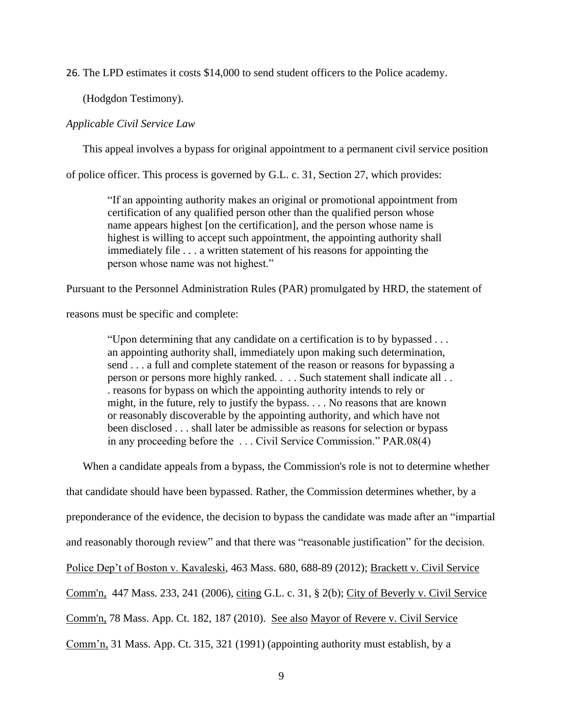26. The LPD estimates it costs \$14,000 to send student officers to the Police academy.

(Hodgdon Testimony).

### *Applicable Civil Service Law*

This appeal involves a bypass for original appointment to a permanent civil service position

of police officer. This process is governed by G.L. c. 31, Section 27, which provides:

"If an appointing authority makes an original or promotional appointment from certification of any qualified person other than the qualified person whose name appears highest [on the certification], and the person whose name is highest is willing to accept such appointment, the appointing authority shall immediately file . . . a written statement of his reasons for appointing the person whose name was not highest."

Pursuant to the Personnel Administration Rules (PAR) promulgated by HRD, the statement of

reasons must be specific and complete:

"Upon determining that any candidate on a certification is to by bypassed . . . an appointing authority shall, immediately upon making such determination, send . . . a full and complete statement of the reason or reasons for bypassing a person or persons more highly ranked. . . . Such statement shall indicate all . . . reasons for bypass on which the appointing authority intends to rely or might, in the future, rely to justify the bypass. . . . No reasons that are known or reasonably discoverable by the appointing authority, and which have not been disclosed . . . shall later be admissible as reasons for selection or bypass in any proceeding before the . . . Civil Service Commission." PAR.08(4)

When a candidate appeals from a bypass, the Commission's role is not to determine whether

that candidate should have been bypassed. Rather, the Commission determines whether, by a

preponderance of the evidence, the decision to bypass the candidate was made after an "impartial

and reasonably thorough review" and that there was "reasonable justification" for the decision.

Police Dep't of Boston v. Kavaleski, 463 Mass. 680, 688-89 (2012); [Brackett v. Civil Service](http://web2.westlaw.com/find/default.wl?mt=Massachusetts&db=578&rs=WLW15.04&tc=-1&rp=%2ffind%2fdefault.wl&findtype=Y&ordoc=2029136022&serialnum=2009543382&vr=2.0&fn=_top&sv=Split&tf=-1&pbc=70F732C1&utid=1) 

[Comm'n, 447 Mass. 233, 241 \(2006\)](http://web2.westlaw.com/find/default.wl?mt=Massachusetts&db=578&rs=WLW15.04&tc=-1&rp=%2ffind%2fdefault.wl&findtype=Y&ordoc=2029136022&serialnum=2009543382&vr=2.0&fn=_top&sv=Split&tf=-1&pbc=70F732C1&utid=1), citing G.L. c. 31, [§ 2\(b\);](http://web2.westlaw.com/find/default.wl?mt=Massachusetts&db=1000042&rs=WLW15.04&docname=MAST31S2&rp=%2ffind%2fdefault.wl&findtype=L&ordoc=2029136022&tc=-1&vr=2.0&fn=_top&sv=Split&tf=-1&pbc=70F732C1&utid=1) City of [Beverly v. Civil Service](http://web2.westlaw.com/find/default.wl?mt=Massachusetts&db=578&rs=WLW15.04&tc=-1&rp=%2ffind%2fdefault.wl&findtype=Y&ordoc=2029136022&serialnum=2023501172&vr=2.0&fn=_top&sv=Split&tf=-1&pbc=70F732C1&utid=1) 

Comm'n, 78 Mass. App. [Ct. 182, 187 \(2010\).](http://web2.westlaw.com/find/default.wl?mt=Massachusetts&db=578&rs=WLW15.04&tc=-1&rp=%2ffind%2fdefault.wl&findtype=Y&ordoc=2029136022&serialnum=2023501172&vr=2.0&fn=_top&sv=Split&tf=-1&pbc=70F732C1&utid=1) See also Mayor of Revere v. Civil Service

Comm'n, 31 Mass. App. Ct. 315, 321 (1991) (appointing authority must establish, by a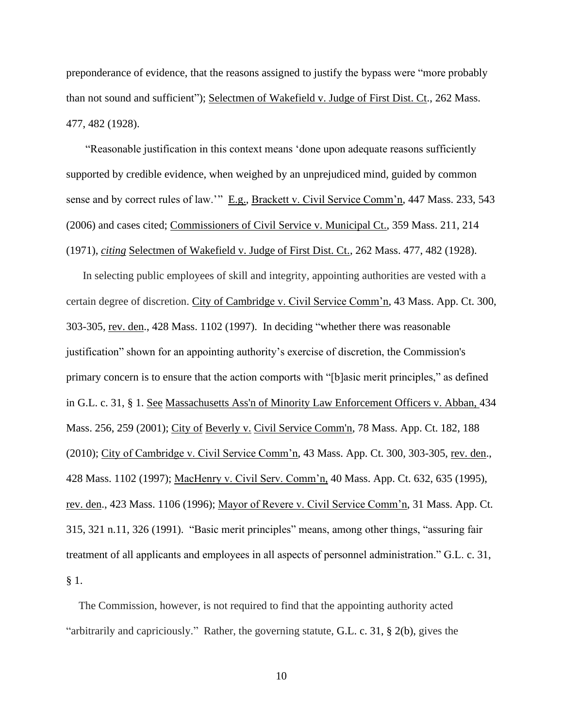preponderance of evidence, that the reasons assigned to justify the bypass were "more probably than not sound and sufficient"); Selectmen of Wakefield v. Judge of First Dist. Ct., 262 Mass. 477, 482 (1928).

"Reasonable justification in this context means 'done upon adequate reasons sufficiently supported by credible evidence, when weighed by an unprejudiced mind, guided by common sense and by correct rules of law.'" E.g., Brackett v. Civil Service Comm'n, 447 Mass. 233, 543 (2006) and cases cited; Commissioners of Civil Service v. Municipal Ct., 359 Mass. 211, 214 (1971), *citing* Selectmen of Wakefield v. Judge of First Dist. Ct., 262 Mass. 477, 482 (1928).

In selecting public employees of skill and integrity, appointing authorities are vested with a certain degree of discretion. City of Cambridge v. Civil Service Comm'n, 43 Mass. App. Ct. 300, 303-305, rev. den., 428 Mass. 1102 (1997). In deciding "whether there was reasonable justification" shown for an appointing authority's exercise of discretion, the Commission's primary concern is to ensure that the action comports with "[b]asic merit principles," as defined in [G.L.](http://web2.westlaw.com/find/default.wl?mt=Massachusetts&db=1000042&rs=WLW15.04&docname=MAST31S1&rp=%2ffind%2fdefault.wl&findtype=L&ordoc=2029136022&tc=-1&vr=2.0&fn=_top&sv=Split&tf=-1&pbc=70F732C1&utid=1) c. 31, § 1. See [Massachusetts Ass'n of Minority Law Enforcement Officers v. Abban,](http://web2.westlaw.com/find/default.wl?mt=Massachusetts&db=578&rs=WLW15.04&tc=-1&rp=%2ffind%2fdefault.wl&findtype=Y&ordoc=2029136022&serialnum=2001441097&vr=2.0&fn=_top&sv=Split&tf=-1&pbc=70F732C1&utid=1) 434 [Mass. 256, 259 \(2001\);](http://web2.westlaw.com/find/default.wl?mt=Massachusetts&db=578&rs=WLW15.04&tc=-1&rp=%2ffind%2fdefault.wl&findtype=Y&ordoc=2029136022&serialnum=2001441097&vr=2.0&fn=_top&sv=Split&tf=-1&pbc=70F732C1&utid=1) City of Beverly v. [Civil Service Comm'n, 78 Mass.](http://web2.westlaw.com/find/default.wl?mt=Massachusetts&db=578&rs=WLW15.04&tc=-1&rp=%2ffind%2fdefault.wl&findtype=Y&ordoc=2029136022&serialnum=2023501172&vr=2.0&fn=_top&sv=Split&tf=-1&pbc=70F732C1&utid=1) App. Ct. 182, 188 [\(2010\);](http://web2.westlaw.com/find/default.wl?mt=Massachusetts&db=578&rs=WLW15.04&tc=-1&rp=%2ffind%2fdefault.wl&findtype=Y&ordoc=2029136022&serialnum=2023501172&vr=2.0&fn=_top&sv=Split&tf=-1&pbc=70F732C1&utid=1) City of Cambridge v. Civil Service Comm'n, 43 Mass. App. Ct. 300, 303-305, rev. den., 428 Mass. 1102 (1997); MacHenry v. Civil Serv. Comm'n, 40 Mass. App. Ct. 632, 635 (1995), rev. den., 423 Mass. 1106 (1996); Mayor of Revere v. Civil Service Comm'n, 31 Mass. App. Ct. 315, 321 n.11, 326 (1991). "Basic merit principles" means, among other things, "assuring fair treatment of all applicants and employees in all aspects of personnel administration." G.L. c. 31, § 1.

The Commission, however, is not required to find that the appointing authority acted "arbitrarily and capriciously." Rather, the governing statute, [G.L.](https://1.next.westlaw.com/Link/Document/FullText?findType=L&pubNum=1000042&cite=MAST31S2&originatingDoc=Ib21af0ded3bd11d99439b076ef9ec4de&refType=LQ&originationContext=document&transitionType=DocumentItem&contextData=(sc.History*oc.UserEnteredCitation)) c. 31, § 2(b), gives the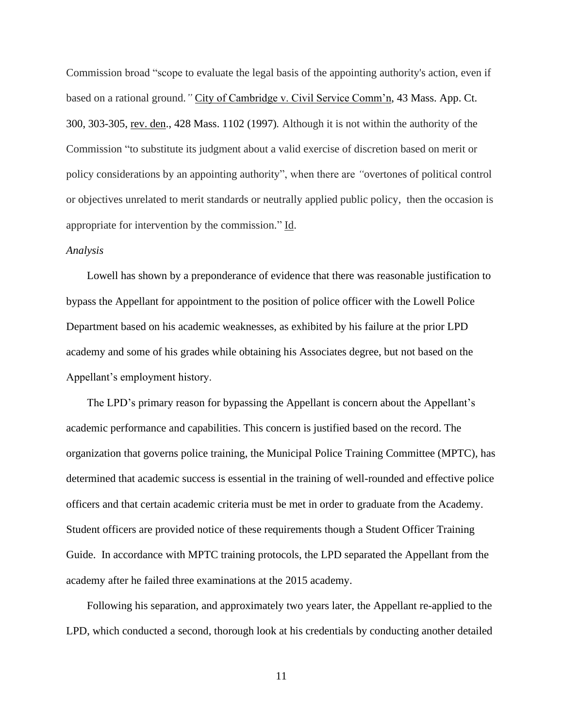Commission broad "scope to evaluate the legal basis of the appointing authority's action, even if based on a rational ground.*"* City of Cambridge v. Civil Service Comm'n, 43 Mass. App. Ct. 300, 303-305, rev. den., 428 Mass. 1102 (1997)*.* Although it is not within the authority of the Commission "to substitute its judgment about a valid exercise of discretion based on merit or policy considerations by an appointing authority", when there are *"*overtones of political control or objectives unrelated to merit standards or neutrally applied public policy, then the occasion is appropriate for intervention by the commission." Id.

### *Analysis*

Lowell has shown by a preponderance of evidence that there was reasonable justification to bypass the Appellant for appointment to the position of police officer with the Lowell Police Department based on his academic weaknesses, as exhibited by his failure at the prior LPD academy and some of his grades while obtaining his Associates degree, but not based on the Appellant's employment history.

The LPD's primary reason for bypassing the Appellant is concern about the Appellant's academic performance and capabilities. This concern is justified based on the record. The organization that governs police training, the Municipal Police Training Committee (MPTC), has determined that academic success is essential in the training of well-rounded and effective police officers and that certain academic criteria must be met in order to graduate from the Academy. Student officers are provided notice of these requirements though a Student Officer Training Guide. In accordance with MPTC training protocols, the LPD separated the Appellant from the academy after he failed three examinations at the 2015 academy.

Following his separation, and approximately two years later, the Appellant re-applied to the LPD, which conducted a second, thorough look at his credentials by conducting another detailed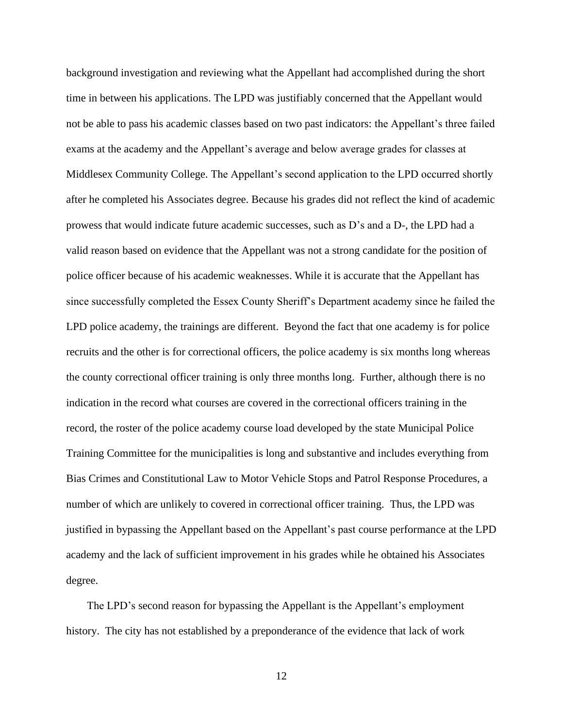background investigation and reviewing what the Appellant had accomplished during the short time in between his applications. The LPD was justifiably concerned that the Appellant would not be able to pass his academic classes based on two past indicators: the Appellant's three failed exams at the academy and the Appellant's average and below average grades for classes at Middlesex Community College. The Appellant's second application to the LPD occurred shortly after he completed his Associates degree. Because his grades did not reflect the kind of academic prowess that would indicate future academic successes, such as D's and a D-, the LPD had a valid reason based on evidence that the Appellant was not a strong candidate for the position of police officer because of his academic weaknesses. While it is accurate that the Appellant has since successfully completed the Essex County Sheriff's Department academy since he failed the LPD police academy, the trainings are different. Beyond the fact that one academy is for police recruits and the other is for correctional officers, the police academy is six months long whereas the county correctional officer training is only three months long. Further, although there is no indication in the record what courses are covered in the correctional officers training in the record, the roster of the police academy course load developed by the state Municipal Police Training Committee for the municipalities is long and substantive and includes everything from Bias Crimes and Constitutional Law to Motor Vehicle Stops and Patrol Response Procedures, a number of which are unlikely to covered in correctional officer training. Thus, the LPD was justified in bypassing the Appellant based on the Appellant's past course performance at the LPD academy and the lack of sufficient improvement in his grades while he obtained his Associates degree.

The LPD's second reason for bypassing the Appellant is the Appellant's employment history. The city has not established by a preponderance of the evidence that lack of work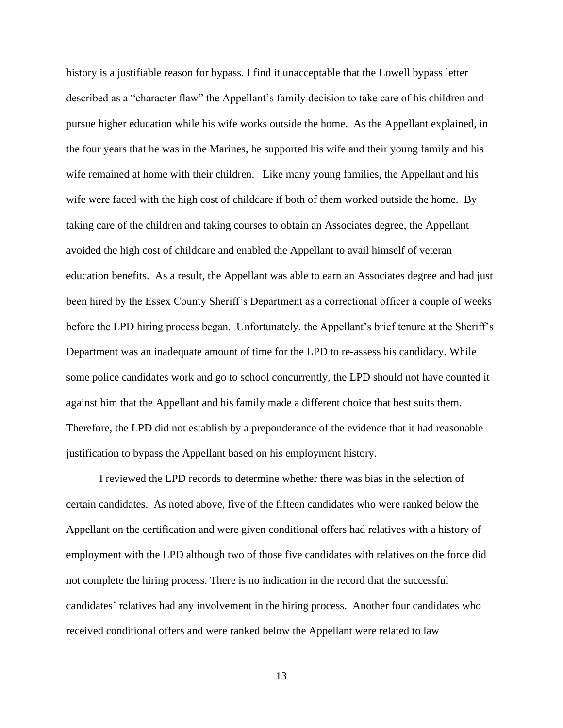history is a justifiable reason for bypass. I find it unacceptable that the Lowell bypass letter described as a "character flaw" the Appellant's family decision to take care of his children and pursue higher education while his wife works outside the home. As the Appellant explained, in the four years that he was in the Marines, he supported his wife and their young family and his wife remained at home with their children. Like many young families, the Appellant and his wife were faced with the high cost of childcare if both of them worked outside the home. By taking care of the children and taking courses to obtain an Associates degree, the Appellant avoided the high cost of childcare and enabled the Appellant to avail himself of veteran education benefits. As a result, the Appellant was able to earn an Associates degree and had just been hired by the Essex County Sheriff's Department as a correctional officer a couple of weeks before the LPD hiring process began. Unfortunately, the Appellant's brief tenure at the Sheriff's Department was an inadequate amount of time for the LPD to re-assess his candidacy. While some police candidates work and go to school concurrently, the LPD should not have counted it against him that the Appellant and his family made a different choice that best suits them. Therefore, the LPD did not establish by a preponderance of the evidence that it had reasonable justification to bypass the Appellant based on his employment history.

I reviewed the LPD records to determine whether there was bias in the selection of certain candidates. As noted above, five of the fifteen candidates who were ranked below the Appellant on the certification and were given conditional offers had relatives with a history of employment with the LPD although two of those five candidates with relatives on the force did not complete the hiring process. There is no indication in the record that the successful candidates' relatives had any involvement in the hiring process. Another four candidates who received conditional offers and were ranked below the Appellant were related to law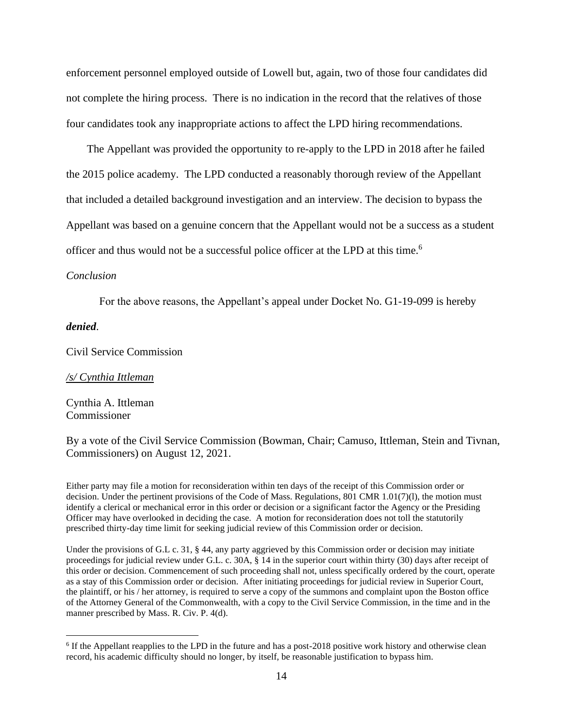enforcement personnel employed outside of Lowell but, again, two of those four candidates did not complete the hiring process. There is no indication in the record that the relatives of those four candidates took any inappropriate actions to affect the LPD hiring recommendations.

The Appellant was provided the opportunity to re-apply to the LPD in 2018 after he failed the 2015 police academy. The LPD conducted a reasonably thorough review of the Appellant that included a detailed background investigation and an interview. The decision to bypass the Appellant was based on a genuine concern that the Appellant would not be a success as a student officer and thus would not be a successful police officer at the LPD at this time. 6

#### *Conclusion*

For the above reasons, the Appellant's appeal under Docket No. G1-19-099 is hereby

#### *denied*.

Civil Service Commission

#### */s/ Cynthia Ittleman*

Cynthia A. Ittleman Commissioner

By a vote of the Civil Service Commission (Bowman, Chair; Camuso, Ittleman, Stein and Tivnan, Commissioners) on August 12, 2021.

Either party may file a motion for reconsideration within ten days of the receipt of this Commission order or decision. Under the pertinent provisions of the Code of Mass. Regulations, 801 CMR 1.01(7)(l), the motion must identify a clerical or mechanical error in this order or decision or a significant factor the Agency or the Presiding Officer may have overlooked in deciding the case. A motion for reconsideration does not toll the statutorily prescribed thirty-day time limit for seeking judicial review of this Commission order or decision.

Under the provisions of G.L c. 31, § 44, any party aggrieved by this Commission order or decision may initiate proceedings for judicial review under G.L. c. 30A, § 14 in the superior court within thirty (30) days after receipt of this order or decision. Commencement of such proceeding shall not, unless specifically ordered by the court, operate as a stay of this Commission order or decision. After initiating proceedings for judicial review in Superior Court, the plaintiff, or his / her attorney, is required to serve a copy of the summons and complaint upon the Boston office of the Attorney General of the Commonwealth, with a copy to the Civil Service Commission, in the time and in the manner prescribed by Mass. R. Civ. P. 4(d).

<sup>&</sup>lt;sup>6</sup> If the Appellant reapplies to the LPD in the future and has a post-2018 positive work history and otherwise clean record, his academic difficulty should no longer, by itself, be reasonable justification to bypass him.